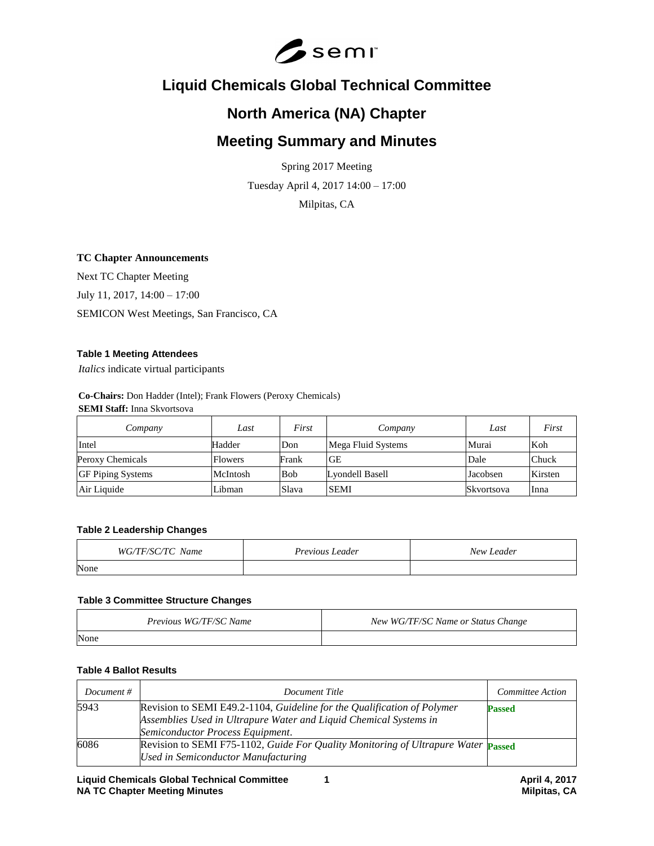

# **Liquid Chemicals Global Technical Committee**

# **North America (NA) Chapter**

# **Meeting Summary and Minutes**

Spring 2017 Meeting Tuesday April 4, 2017 14:00 – 17:00

Milpitas, CA

# **TC Chapter Announcements**

Next TC Chapter Meeting July 11, 2017, 14:00 – 17:00 SEMICON West Meetings, San Francisco, CA

## **Table 1 Meeting Attendees**

*Italics* indicate virtual participants

**Co-Chairs:** Don Hadder (Intel); Frank Flowers (Peroxy Chemicals) **SEMI Staff:** Inna Skvortsova

| Company                  | Last           | First      | Company            | Last       | First   |
|--------------------------|----------------|------------|--------------------|------------|---------|
| Intel                    | Hadder         | Don        | Mega Fluid Systems | Murai      | Koh     |
| Peroxy Chemicals         | <b>Flowers</b> | Frank      | <b>GE</b>          | Dale       | Chuck   |
| <b>GF Piping Systems</b> | McIntosh       | <b>Bob</b> | Lyondell Basell    | Jacobsen   | Kirsten |
| Air Liquide              | Libman         | Slava      | <b>SEMI</b>        | Skvortsova | Inna    |

## **Table 2 Leadership Changes**

| WG/TF/SC/TC Name | Previous Leader | New Leader |
|------------------|-----------------|------------|
| None             |                 |            |

#### **Table 3 Committee Structure Changes**

| Previous WG/TF/SC Name | New WG/TF/SC Name or Status Change |
|------------------------|------------------------------------|
| None                   |                                    |

# **Table 4 Ballot Results**

| Document $#$ | Document Title                                                                                                                                                                   | Committee Action |
|--------------|----------------------------------------------------------------------------------------------------------------------------------------------------------------------------------|------------------|
| 5943         | Revision to SEMI E49.2-1104, Guideline for the Qualification of Polymer<br>Assemblies Used in Ultrapure Water and Liquid Chemical Systems in<br>Semiconductor Process Equipment. | <b>Passed</b>    |
| 6086         | Revision to SEMI F75-1102, Guide For Quality Monitoring of Ultrapure Water Passed<br><b>Used in Semiconductor Manufacturing</b>                                                  |                  |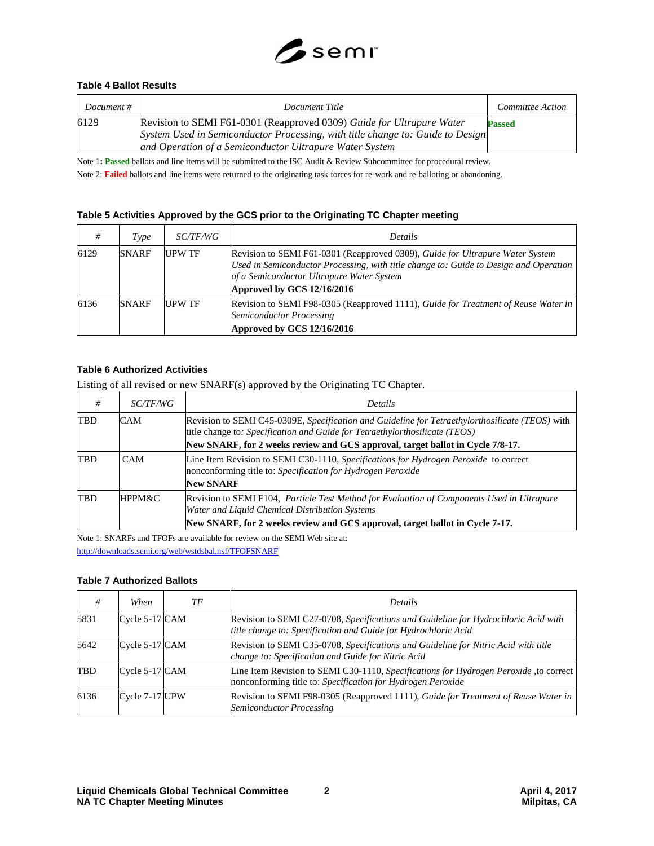

## **Table 4 Ballot Results**

| Document # | Document Title                                                                                                                                                                                                     | Committee Action |
|------------|--------------------------------------------------------------------------------------------------------------------------------------------------------------------------------------------------------------------|------------------|
| 6129       | Revision to SEMI F61-0301 (Reapproved 0309) Guide for Ultrapure Water<br>System Used in Semiconductor Processing, with title change to: Guide to Design<br>and Operation of a Semiconductor Ultrapure Water System | <b>Passed</b>    |

Note 1**: Passed** ballots and line items will be submitted to the ISC Audit & Review Subcommittee for procedural review.

Note 2: **Failed** ballots and line items were returned to the originating task forces for re-work and re-balloting or abandoning.

## **Table 5 Activities Approved by the GCS prior to the Originating TC Chapter meeting**

| #    | Type         | <i>SC/TF/WG</i> | <b>Details</b>                                                                                                                                                                                                                                    |
|------|--------------|-----------------|---------------------------------------------------------------------------------------------------------------------------------------------------------------------------------------------------------------------------------------------------|
| 6129 | <b>SNARF</b> | <b>UPW TF</b>   | Revision to SEMI F61-0301 (Reapproved 0309), Guide for Ultrapure Water System<br>Used in Semiconductor Processing, with title change to: Guide to Design and Operation<br>of a Semiconductor Ultrapure Water System<br>Approved by GCS 12/16/2016 |
| 6136 | <b>SNARF</b> | <b>UPW TF</b>   | Revision to SEMI F98-0305 (Reapproved 1111), Guide for Treatment of Reuse Water in<br>Semiconductor Processing<br>Approved by GCS 12/16/2016                                                                                                      |

#### **Table 6 Authorized Activities**

Listing of all revised or new SNARF(s) approved by the Originating TC Chapter.

| #          | <i>SC/TF/WG</i> | <b>Details</b>                                                                                                                                                                 |
|------------|-----------------|--------------------------------------------------------------------------------------------------------------------------------------------------------------------------------|
| <b>TBD</b> | <b>CAM</b>      | Revision to SEMI C45-0309E, Specification and Guideline for Tetraethylorthosilicate (TEOS) with<br>title change to: Specification and Guide for Tetraethylorthosilicate (TEOS) |
|            |                 | New SNARF, for 2 weeks review and GCS approval, target ballot in Cycle 7/8-17.                                                                                                 |
| TBD        | CAM             | Line Item Revision to SEMI C30-1110, Specifications for Hydrogen Peroxide to correct<br>nonconforming title to: Specification for Hydrogen Peroxide                            |
|            |                 | <b>New SNARF</b>                                                                                                                                                               |
| <b>TBD</b> | HPPM&C          | Revision to SEMI F104, Particle Test Method for Evaluation of Components Used in Ultrapure<br>Water and Liquid Chemical Distribution Systems                                   |
|            |                 | New SNARF, for 2 weeks review and GCS approval, target ballot in Cycle 7-17.                                                                                                   |

Note 1: SNARFs and TFOFs are available for review on the SEMI Web site at: <http://downloads.semi.org/web/wstdsbal.nsf/TFOFSNARF>

#### **Table 7 Authorized Ballots**

|      | When           | ТF | <b>Details</b>                                                                                                                                       |
|------|----------------|----|------------------------------------------------------------------------------------------------------------------------------------------------------|
| 5831 | Cycle 5-17 CAM |    | Revision to SEMI C27-0708, Specifications and Guideline for Hydrochloric Acid with<br>title change to: Specification and Guide for Hydrochloric Acid |
| 5642 | Cycle 5-17 CAM |    | Revision to SEMI C35-0708, Specifications and Guideline for Nitric Acid with title<br>change to: Specification and Guide for Nitric Acid             |
| TBD  | Cycle 5-17 CAM |    | Line Item Revision to SEMI C30-1110, Specifications for Hydrogen Peroxide, to correct<br>nonconforming title to: Specification for Hydrogen Peroxide |
| 6136 | Cycle 7-17 UPW |    | Revision to SEMI F98-0305 (Reapproved 1111), Guide for Treatment of Reuse Water in<br>Semiconductor Processing                                       |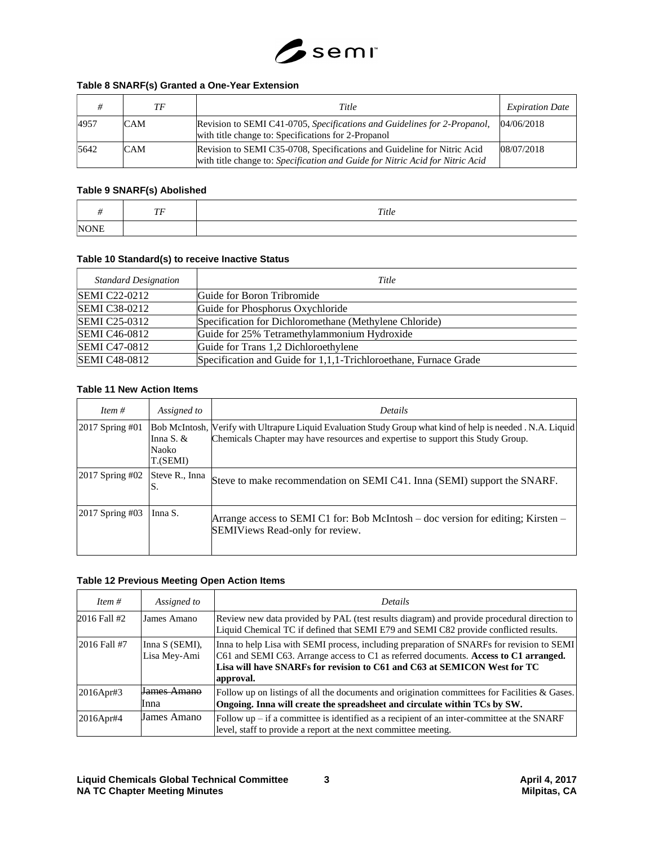

#### **Table 8 SNARF(s) Granted a One-Year Extension**

|      | TF         | Title                                                                                                                                                    | <b>Expiration Date</b> |
|------|------------|----------------------------------------------------------------------------------------------------------------------------------------------------------|------------------------|
| 4957 | <b>CAM</b> | Revision to SEMI C41-0705, Specifications and Guidelines for 2-Propanol,<br>with title change to: Specifications for 2-Propanol                          | 04/06/2018             |
| 5642 | <b>CAM</b> | Revision to SEMI C35-0708, Specifications and Guideline for Nitric Acid<br>with title change to: Specification and Guide for Nitric Acid for Nitric Acid | 08/07/2018             |

#### **Table 9 SNARF(s) Abolished**

|               | $\tau$ r<br>$\ddot{\phantom{0}}$ | Title |
|---------------|----------------------------------|-------|
| <b>NIONIE</b> |                                  |       |

# **Table 10 Standard(s) to receive Inactive Status**

| <b>Standard Designation</b> | Title                                                            |
|-----------------------------|------------------------------------------------------------------|
| <b>SEMI C22-0212</b>        | Guide for Boron Tribromide                                       |
| <b>SEMI C38-0212</b>        | Guide for Phosphorus Oxychloride                                 |
| <b>SEMI C25-0312</b>        | Specification for Dichloromethane (Methylene Chloride)           |
| <b>SEMI C46-0812</b>        | Guide for 25% Tetramethylammonium Hydroxide                      |
| <b>SEMI C47-0812</b>        | Guide for Trans 1,2 Dichloroethylene                             |
| <b>SEMI C48-0812</b>        | Specification and Guide for 1,1,1-Trichloroethane, Furnace Grade |

## **Table 11 New Action Items**

| Item $#$           | Assigned to                      | <b>Details</b>                                                                                                                                                                                |
|--------------------|----------------------------------|-----------------------------------------------------------------------------------------------------------------------------------------------------------------------------------------------|
| 2017 Spring #01    | Inna S. $&$<br>Naoko<br>T.(SEMI) | Bob McIntosh, Werify with Ultrapure Liquid Evaluation Study Group what kind of help is needed. N.A. Liquid<br>Chemicals Chapter may have resources and expertise to support this Study Group. |
| $ 2017$ Spring #02 | Steve R., Inna                   | Steve to make recommendation on SEMI C41. Inna (SEMI) support the SNARF.                                                                                                                      |
| $2017$ Spring #03  | Inna S.                          | Arrange access to SEMI C1 for: Bob McIntosh – doc version for editing; Kirsten –<br>SEMIViews Read-only for review.                                                                           |

#### **Table 12 Previous Meeting Open Action Items**

| Item $#$     | Assigned to                    | Details                                                                                                                                                                                                                                                                    |  |
|--------------|--------------------------------|----------------------------------------------------------------------------------------------------------------------------------------------------------------------------------------------------------------------------------------------------------------------------|--|
| 2016 Fall #2 | James Amano                    | Review new data provided by PAL (test results diagram) and provide procedural direction to<br>Liquid Chemical TC if defined that SEMI E79 and SEMI C82 provide conflicted results.                                                                                         |  |
| 2016 Fall #7 | Inna S (SEMI),<br>Lisa Mey-Ami | Inna to help Lisa with SEMI process, including preparation of SNARFs for revision to SEMI<br>C61 and SEMI C63. Arrange access to C1 as referred documents. Access to C1 arranged.<br>Lisa will have SNARFs for revision to C61 and C63 at SEMICON West for TC<br>approval. |  |
| 2016Apr#3    | James Amano<br>Inna            | Follow up on listings of all the documents and origination committees for Facilities & Gases.<br>Ongoing. Inna will create the spreadsheet and circulate within TCs by SW.                                                                                                 |  |
| 2016Apr#4    | James Amano                    | Follow $up$ – if a committee is identified as a recipient of an inter-committee at the SNARF<br>level, staff to provide a report at the next committee meeting.                                                                                                            |  |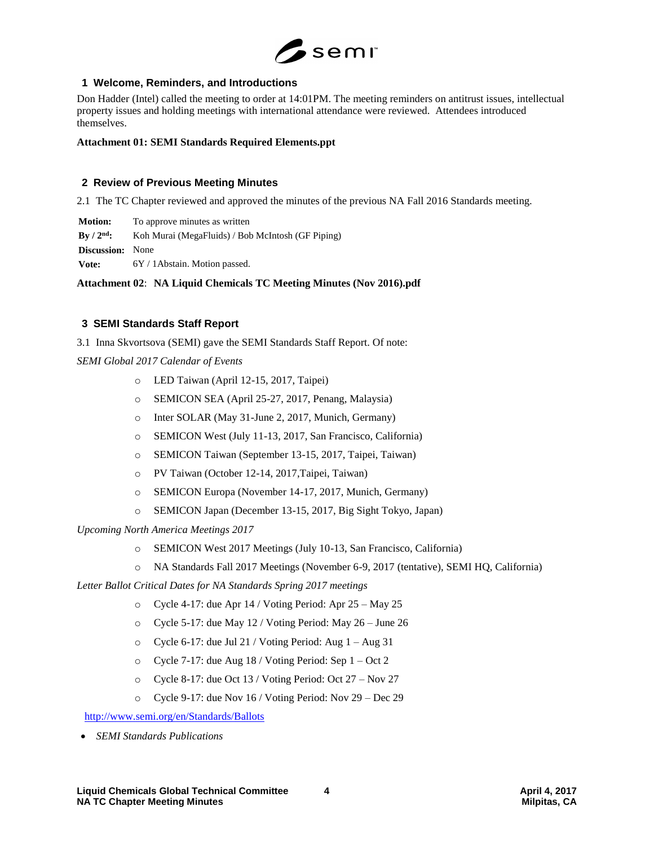

# **1 Welcome, Reminders, and Introductions**

Don Hadder (Intel) called the meeting to order at 14:01PM. The meeting reminders on antitrust issues, intellectual property issues and holding meetings with international attendance were reviewed. Attendees introduced themselves.

#### **Attachment 01: SEMI Standards Required Elements.ppt**

## **2 Review of Previous Meeting Minutes**

2.1 The TC Chapter reviewed and approved the minutes of the previous NA Fall 2016 Standards meeting.

**Motion:** To approve minutes as written

**By / 2nd:** Koh Murai (MegaFluids) / Bob McIntosh (GF Piping)

**Discussion:** None

Vote: 6Y / 1Abstain. Motion passed.

**Attachment 02**: **NA Liquid Chemicals TC Meeting Minutes (Nov 2016).pdf**

# **3 SEMI Standards Staff Report**

3.1 Inna Skvortsova (SEMI) gave the SEMI Standards Staff Report. Of note:

*SEMI Global 2017 Calendar of Events*

- o LED Taiwan (April 12-15, 2017, Taipei)
- o SEMICON SEA (April 25-27, 2017, Penang, Malaysia)
- o Inter SOLAR (May 31-June 2, 2017, Munich, Germany)
- o SEMICON West (July 11-13, 2017, San Francisco, California)
- o SEMICON Taiwan (September 13-15, 2017, Taipei, Taiwan)
- o PV Taiwan (October 12-14, 2017,Taipei, Taiwan)
- o SEMICON Europa (November 14-17, 2017, Munich, Germany)
- o SEMICON Japan (December 13-15, 2017, Big Sight Tokyo, Japan)

*Upcoming North America Meetings 2017*

- o SEMICON West 2017 Meetings (July 10-13, San Francisco, California)
- o NA Standards Fall 2017 Meetings (November 6-9, 2017 (tentative), SEMI HQ, California)

*Letter Ballot Critical Dates for NA Standards Spring 2017 meetings*

- o Cycle 4-17: due Apr 14 / Voting Period: Apr 25 May 25
- o Cycle 5-17: due May 12 / Voting Period: May 26 June 26
- $\circ$  Cycle 6-17: due Jul 21 / Voting Period: Aug 1 Aug 31
- o Cycle 7-17: due Aug 18 / Voting Period: Sep 1 Oct 2
- o Cycle 8-17: due Oct 13 / Voting Period: Oct 27 Nov 27
- o Cycle 9-17: due Nov 16 / Voting Period: Nov 29 Dec 29

<http://www.semi.org/en/Standards/Ballots>

*SEMI Standards Publications*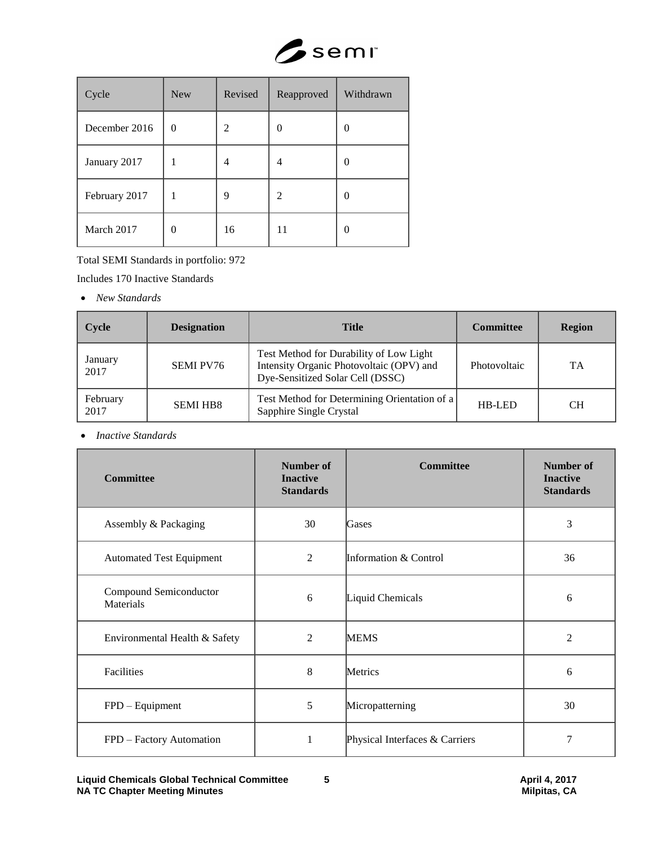

| Cycle         | <b>New</b> | Revised | Reapproved | Withdrawn |
|---------------|------------|---------|------------|-----------|
| December 2016 | $\theta$   | 2       | 0          | $\Omega$  |
| January 2017  |            | 4       | 4          | $\Omega$  |
| February 2017 |            | 9       | 2          | 0         |
| March 2017    | $\theta$   | 16      | 11         | 0         |

Total SEMI Standards in portfolio: 972

Includes 170 Inactive Standards

*New Standards* 

| Cycle            | <b>Designation</b> | <b>Title</b>                                                                                                            | <b>Committee</b> | <b>Region</b> |
|------------------|--------------------|-------------------------------------------------------------------------------------------------------------------------|------------------|---------------|
| January<br>2017  | <b>SEMI PV76</b>   | Test Method for Durability of Low Light<br>Intensity Organic Photovoltaic (OPV) and<br>Dye-Sensitized Solar Cell (DSSC) | Photovoltaic     | TA            |
| February<br>2017 | <b>SEMI HB8</b>    | Test Method for Determining Orientation of a<br>Sapphire Single Crystal                                                 | HB-LED           | CН            |

*Inactive Standards* 

| <b>Committee</b>                    | <b>Number of</b><br><b>Inactive</b><br><b>Standards</b> | <b>Committee</b>               | Number of<br><b>Inactive</b><br><b>Standards</b> |
|-------------------------------------|---------------------------------------------------------|--------------------------------|--------------------------------------------------|
| Assembly & Packaging                | 30                                                      | Gases                          | 3                                                |
| <b>Automated Test Equipment</b>     | $\overline{2}$                                          | Information & Control          | 36                                               |
| Compound Semiconductor<br>Materials | 6                                                       | Liquid Chemicals               | 6                                                |
| Environmental Health & Safety       | $\overline{2}$                                          | <b>MEMS</b>                    | $\overline{2}$                                   |
| Facilities                          | 8                                                       | Metrics                        | 6                                                |
| FPD - Equipment                     | 5                                                       | Micropatterning                | 30                                               |
| FPD - Factory Automation            | 1                                                       | Physical Interfaces & Carriers | 7                                                |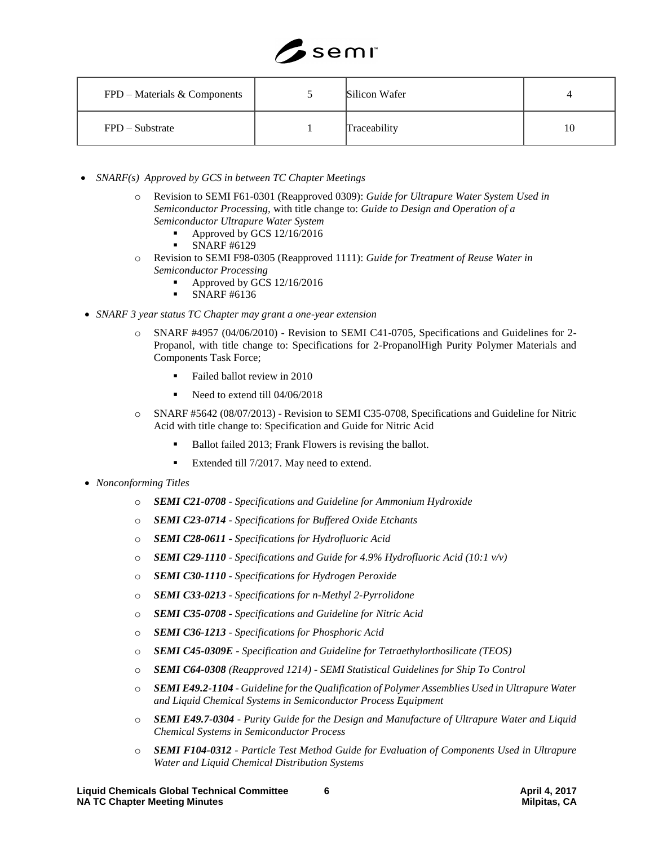

| $FPD$ – Materials & Components | Silicon Wafer |    |
|--------------------------------|---------------|----|
| $FPD - Substrate$              | Traceability  | 10 |

- *SNARF(s) Approved by GCS in between TC Chapter Meetings*
	- o Revision to SEMI F61-0301 (Reapproved 0309): *Guide for Ultrapure Water System Used in Semiconductor Processing,* with title change to: *Guide to Design and Operation of a Semiconductor Ultrapure Water System* 
		- Approved by GCS 12/16/2016
		- SNARF #6129
	- o Revision to SEMI F98-0305 (Reapproved 1111): *Guide for Treatment of Reuse Water in Semiconductor Processing*
		- Approved by GCS 12/16/2016
		- SNARF #6136
- *SNARF 3 year status TC Chapter may grant a one-year extension*
	- o SNARF #4957 (04/06/2010) Revision to SEMI C41-0705, Specifications and Guidelines for 2- Propanol, with title change to: Specifications for 2-PropanolHigh Purity Polymer Materials and Components Task Force;
		- Failed ballot review in 2010
		- Need to extend till 04/06/2018
	- o SNARF #5642 (08/07/2013) Revision to SEMI C35-0708, Specifications and Guideline for Nitric Acid with title change to: Specification and Guide for Nitric Acid
		- Ballot failed 2013; Frank Flowers is revising the ballot.
		- Extended till 7/2017. May need to extend.
- *Nonconforming Titles*
	- o *SEMI C21-0708 - Specifications and Guideline for Ammonium Hydroxide*
	- o *SEMI C23-0714 - Specifications for Buffered Oxide Etchants*
	- o *SEMI C28-0611 - Specifications for Hydrofluoric Acid*
	- o *SEMI C29-1110 - Specifications and Guide for 4.9% Hydrofluoric Acid (10:1 v/v)*
	- o *SEMI C30-1110 - Specifications for Hydrogen Peroxide*
	- o *SEMI C33-0213 - Specifications for n-Methyl 2-Pyrrolidone*
	- o *SEMI C35-0708 - Specifications and Guideline for Nitric Acid*
	- o *SEMI C36-1213 - Specifications for Phosphoric Acid*
	- o *SEMI C45-0309E - Specification and Guideline for Tetraethylorthosilicate (TEOS)*
	- o *SEMI C64-0308 (Reapproved 1214) - SEMI Statistical Guidelines for Ship To Control*
	- o *SEMI E49.2-1104 - Guideline for the Qualification of Polymer Assemblies Used in Ultrapure Water and Liquid Chemical Systems in Semiconductor Process Equipment*
	- o *SEMI E49.7-0304 - Purity Guide for the Design and Manufacture of Ultrapure Water and Liquid Chemical Systems in Semiconductor Process*
	- o *SEMI F104-0312 - Particle Test Method Guide for Evaluation of Components Used in Ultrapure Water and Liquid Chemical Distribution Systems*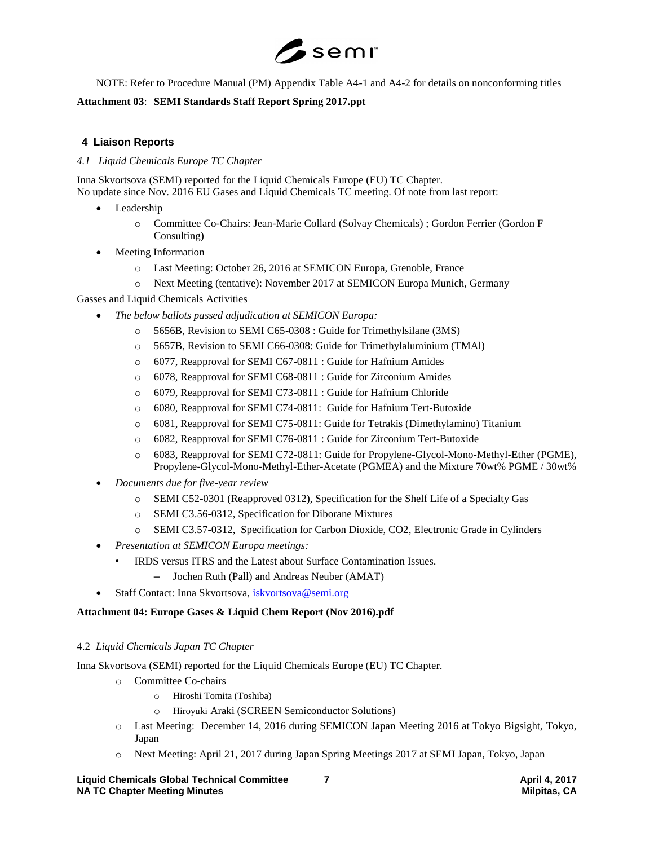

NOTE: Refer to Procedure Manual (PM) Appendix Table A4-1 and A4-2 for details on nonconforming titles

# **Attachment 03**: **SEMI Standards Staff Report Spring 2017.ppt**

# **4 Liaison Reports**

# *4.1 Liquid Chemicals Europe TC Chapter*

Inna Skvortsova (SEMI) reported for the Liquid Chemicals Europe (EU) TC Chapter. No update since Nov. 2016 EU Gases and Liquid Chemicals TC meeting. Of note from last report:

- Leadership
	- o Committee Co-Chairs: Jean-Marie Collard (Solvay Chemicals) ; Gordon Ferrier (Gordon F Consulting)
- Meeting Information
	- o Last Meeting: October 26, 2016 at SEMICON Europa, Grenoble, France
	- o Next Meeting (tentative): November 2017 at SEMICON Europa Munich, Germany

Gasses and Liquid Chemicals Activities

- *The below ballots passed adjudication at SEMICON Europa:*
	- o 5656B, Revision to SEMI C65-0308 : Guide for Trimethylsilane (3MS)
	- o 5657B, Revision to SEMI C66-0308: Guide for Trimethylaluminium (TMAl)
	- o 6077, Reapproval for SEMI C67-0811 : Guide for Hafnium Amides
	- o 6078, Reapproval for SEMI C68-0811 : Guide for Zirconium Amides
	- o 6079, Reapproval for SEMI C73-0811 : Guide for Hafnium Chloride
	- o 6080, Reapproval for SEMI C74-0811: Guide for Hafnium Tert-Butoxide
	- o 6081, Reapproval for SEMI C75-0811: Guide for Tetrakis (Dimethylamino) Titanium
	- o 6082, Reapproval for SEMI C76-0811 : Guide for Zirconium Tert-Butoxide
	- o 6083, Reapproval for SEMI C72-0811: Guide for Propylene-Glycol-Mono-Methyl-Ether (PGME), Propylene-Glycol-Mono-Methyl-Ether-Acetate (PGMEA) and the Mixture 70wt% PGME / 30wt%
- *Documents due for five-year review*
	- o SEMI C52-0301 (Reapproved 0312), Specification for the Shelf Life of a Specialty Gas
	- o SEMI C3.56-0312, Specification for Diborane Mixtures
	- o SEMI C3.57-0312, Specification for Carbon Dioxide, CO2, Electronic Grade in Cylinders
- *Presentation at SEMICON Europa meetings:*
	- IRDS versus ITRS and the Latest about Surface Contamination Issues.
		- Jochen Ruth (Pall) and Andreas Neuber (AMAT)
- Staff Contact: Inna Skvortsova, [iskvortsova@semi.org](mailto:iskvortsova@semi.org)

## **Attachment 04: Europe Gases & Liquid Chem Report (Nov 2016).pdf**

## 4.2 *Liquid Chemicals Japan TC Chapter*

Inna Skvortsova (SEMI) reported for the Liquid Chemicals Europe (EU) TC Chapter.

- o Committee Co-chairs
	- o Hiroshi Tomita (Toshiba)
	- o Hiroyuki Araki (SCREEN Semiconductor Solutions)
- o Last Meeting: December 14, 2016 during SEMICON Japan Meeting 2016 at Tokyo Bigsight, Tokyo, Japan
- o Next Meeting: April 21, 2017 during Japan Spring Meetings 2017 at SEMI Japan, Tokyo, Japan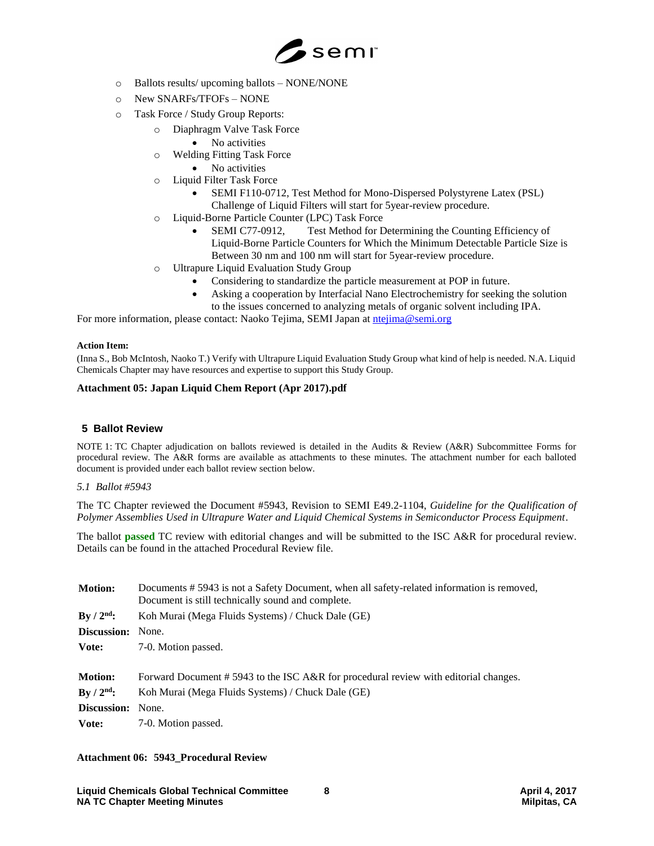

- o Ballots results/ upcoming ballots NONE/NONE
- o New SNARFs/TFOFs NONE
- o Task Force / Study Group Reports:
	- o Diaphragm Valve Task Force
		- No activities
	- o Welding Fitting Task Force
		- No activities
	- o Liquid Filter Task Force
		- SEMI F110-0712, Test Method for Mono-Dispersed Polystyrene Latex (PSL) Challenge of Liquid Filters will start for 5year-review procedure.
	- o Liquid-Borne Particle Counter (LPC) Task Force
		- SEMI C77-0912, Test Method for Determining the Counting Efficiency of Liquid-Borne Particle Counters for Which the Minimum Detectable Particle Size is Between 30 nm and 100 nm will start for 5year-review procedure.
	- o Ultrapure Liquid Evaluation Study Group
		- Considering to standardize the particle measurement at POP in future.
		- Asking a cooperation by Interfacial Nano Electrochemistry for seeking the solution to the issues concerned to analyzing metals of organic solvent including IPA.

For more information, please contact: Naoko Tejima, SEMI Japan at [ntejima@semi.org](mailto:ntejima@semi.org)

#### **Action Item:**

(Inna S., Bob McIntosh, Naoko T.) Verify with Ultrapure Liquid Evaluation Study Group what kind of help is needed. N.A. Liquid Chemicals Chapter may have resources and expertise to support this Study Group.

## **Attachment 05: Japan Liquid Chem Report (Apr 2017).pdf**

## **5 Ballot Review**

NOTE 1: TC Chapter adjudication on ballots reviewed is detailed in the Audits & Review (A&R) Subcommittee Forms for procedural review. The A&R forms are available as attachments to these minutes. The attachment number for each balloted document is provided under each ballot review section below.

## *5.1 Ballot #5943*

The TC Chapter reviewed the Document #5943, Revision to SEMI E49.2-1104, *Guideline for the Qualification of Polymer Assemblies Used in Ultrapure Water and Liquid Chemical Systems in Semiconductor Process Equipment*.

The ballot **passed** TC review with editorial changes and will be submitted to the ISC A&R for procedural review. Details can be found in the attached Procedural Review file.

| <b>Motion:</b>     | Documents # 5943 is not a Safety Document, when all safety-related information is removed,<br>Document is still technically sound and complete. |
|--------------------|-------------------------------------------------------------------------------------------------------------------------------------------------|
| $By / 2nd$ :       | Koh Murai (Mega Fluids Systems) / Chuck Dale (GE)                                                                                               |
| <b>Discussion:</b> | None.                                                                                                                                           |
| Vote:              | 7-0. Motion passed.                                                                                                                             |
|                    |                                                                                                                                                 |
| <b>Motion:</b>     | Forward Document #5943 to the ISC A&R for procedural review with editorial changes.                                                             |
| $By / 2nd$ :       | Koh Murai (Mega Fluids Systems) / Chuck Dale (GE)                                                                                               |
| <b>Discussion:</b> | None.                                                                                                                                           |
| Vote:              | 7-0. Motion passed.                                                                                                                             |

## **Attachment 06: 5943\_Procedural Review**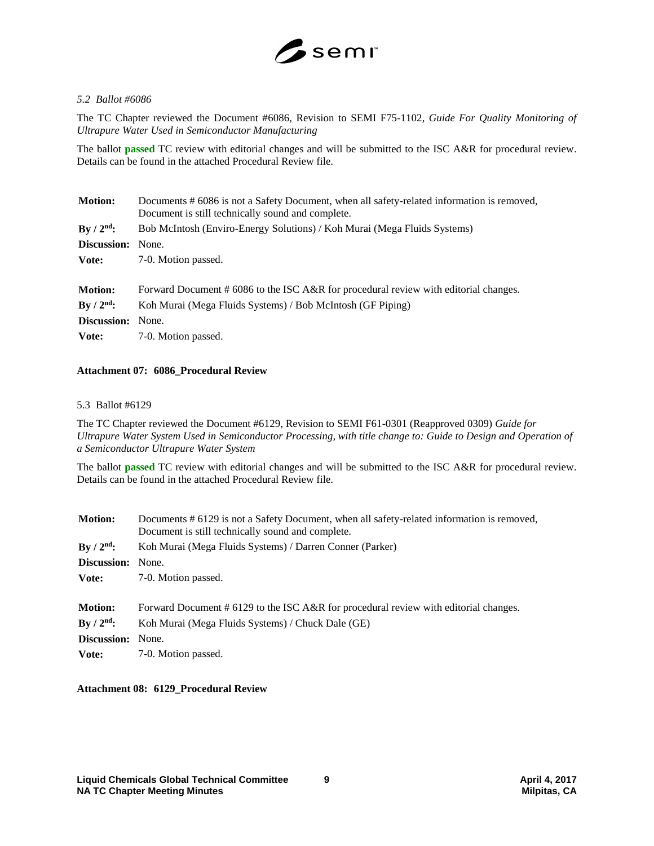

## *5.2 Ballot #6086*

The TC Chapter reviewed the Document #6086, Revision to SEMI F75-1102*, Guide For Quality Monitoring of Ultrapure Water Used in Semiconductor Manufacturing*

The ballot **passed** TC review with editorial changes and will be submitted to the ISC A&R for procedural review. Details can be found in the attached Procedural Review file.

| <b>Motion:</b>     | Documents # 6086 is not a Safety Document, when all safety-related information is removed,<br>Document is still technically sound and complete. |
|--------------------|-------------------------------------------------------------------------------------------------------------------------------------------------|
| $By / 2nd$ :       | Bob McIntosh (Enviro-Energy Solutions) / Koh Murai (Mega Fluids Systems)                                                                        |
| Discussion:        | None.                                                                                                                                           |
| Vote:              | 7-0. Motion passed.                                                                                                                             |
|                    |                                                                                                                                                 |
| <b>Motion:</b>     | Forward Document # 6086 to the ISC A&R for procedural review with editorial changes.                                                            |
| $By / 2nd$ :       | Koh Murai (Mega Fluids Systems) / Bob McIntosh (GF Piping)                                                                                      |
| <b>Discussion:</b> | None.                                                                                                                                           |
| Vote:              | 7-0. Motion passed.                                                                                                                             |

#### **Attachment 07: 6086\_Procedural Review**

#### 5.3 Ballot #6129

The TC Chapter reviewed the Document #6129, Revision to SEMI F61-0301 (Reapproved 0309) *Guide for Ultrapure Water System Used in Semiconductor Processing, with title change to: Guide to Design and Operation of a Semiconductor Ultrapure Water System*

The ballot **passed** TC review with editorial changes and will be submitted to the ISC A&R for procedural review. Details can be found in the attached Procedural Review file.

| <b>Motion:</b>     | Documents # 6129 is not a Safety Document, when all safety-related information is removed,<br>Document is still technically sound and complete. |
|--------------------|-------------------------------------------------------------------------------------------------------------------------------------------------|
| By / $2nd$ :       | Koh Murai (Mega Fluids Systems) / Darren Conner (Parker)                                                                                        |
| <b>Discussion:</b> | None.                                                                                                                                           |
| Vote:              | 7-0. Motion passed.                                                                                                                             |
|                    |                                                                                                                                                 |
| <b>Motion:</b>     | Forward Document # 6129 to the ISC A&R for procedural review with editorial changes.                                                            |
| $By / 2nd$ :       | Koh Murai (Mega Fluids Systems) / Chuck Dale (GE)                                                                                               |
| <b>Discussion:</b> | None.                                                                                                                                           |
| Vote:              | 7-0. Motion passed.                                                                                                                             |

#### **Attachment 08: 6129\_Procedural Review**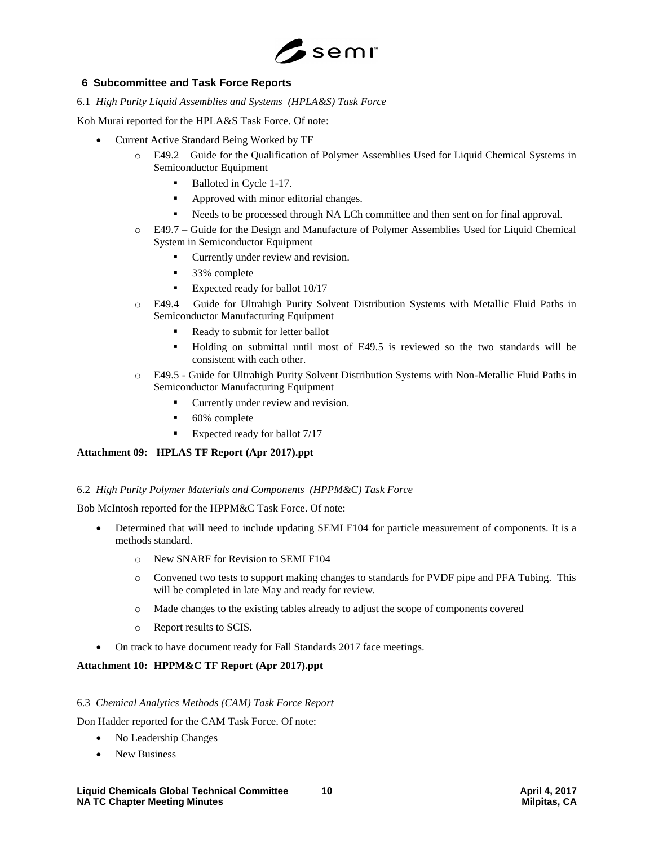

# **6 Subcommittee and Task Force Reports**

6.1 *High Purity Liquid Assemblies and Systems (HPLA&S) Task Force* 

Koh Murai reported for the HPLA&S Task Force. Of note:

- Current Active Standard Being Worked by TF
	- o E49.2 Guide for the Qualification of Polymer Assemblies Used for Liquid Chemical Systems in Semiconductor Equipment
		- Balloted in Cycle 1-17.
		- **Approved with minor editorial changes.**
		- Needs to be processed through NA LCh committee and then sent on for final approval.
	- o E49.7 Guide for the Design and Manufacture of Polymer Assemblies Used for Liquid Chemical System in Semiconductor Equipment
		- Currently under review and revision.
		- 33% complete
		- Expected ready for ballot 10/17
	- o E49.4 Guide for Ultrahigh Purity Solvent Distribution Systems with Metallic Fluid Paths in Semiconductor Manufacturing Equipment
		- Ready to submit for letter ballot
		- Holding on submittal until most of E49.5 is reviewed so the two standards will be consistent with each other.
	- o E49.5 Guide for Ultrahigh Purity Solvent Distribution Systems with Non-Metallic Fluid Paths in Semiconductor Manufacturing Equipment
		- **Currently under review and revision.**
		- 60% complete
		- Expected ready for ballot 7/17

## **Attachment 09: HPLAS TF Report (Apr 2017).ppt**

## 6.2 *High Purity Polymer Materials and Components (HPPM&C) Task Force*

Bob McIntosh reported for the HPPM&C Task Force. Of note:

- Determined that will need to include updating SEMI F104 for particle measurement of components. It is a methods standard.
	- o New SNARF for Revision to SEMI F104
	- o Convened two tests to support making changes to standards for PVDF pipe and PFA Tubing. This will be completed in late May and ready for review.
	- o Made changes to the existing tables already to adjust the scope of components covered
	- o Report results to SCIS.
- On track to have document ready for Fall Standards 2017 face meetings.

## **Attachment 10: HPPM&C TF Report (Apr 2017).ppt**

## 6.3 *Chemical Analytics Methods (CAM) Task Force Report*

Don Hadder reported for the CAM Task Force. Of note:

- No Leadership Changes
- New Business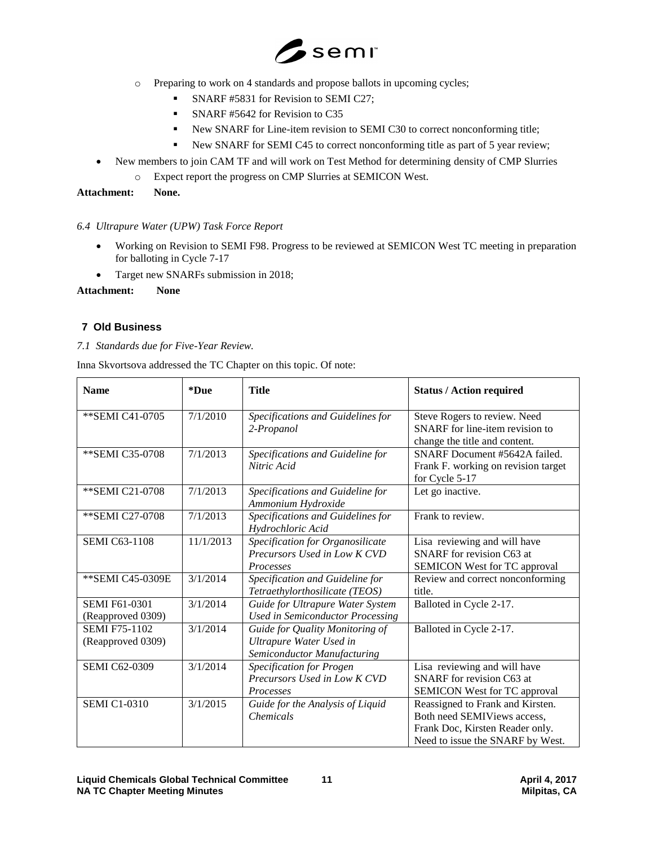

- o Preparing to work on 4 standards and propose ballots in upcoming cycles;
	- SNARF #5831 for Revision to SEMI C27;
	- SNARF #5642 for Revision to C35
	- New SNARF for Line-item revision to SEMI C30 to correct nonconforming title;
	- New SNARF for SEMI C45 to correct nonconforming title as part of 5 year review;
- New members to join CAM TF and will work on Test Method for determining density of CMP Slurries
	- o Expect report the progress on CMP Slurries at SEMICON West.

**Attachment: None.**

# *6.4 Ultrapure Water (UPW) Task Force Report*

- Working on Revision to SEMI F98. Progress to be reviewed at SEMICON West TC meeting in preparation for balloting in Cycle 7-17
- Target new SNARFs submission in 2018;

# **Attachment: None**

# **7 Old Business**

# *7.1 Standards due for Five-Year Review.*

Inna Skvortsova addressed the TC Chapter on this topic. Of note:

| <b>Name</b>                               | *Due      | <b>Title</b>                                                                              | <b>Status / Action required</b>                                                                                                        |
|-------------------------------------------|-----------|-------------------------------------------------------------------------------------------|----------------------------------------------------------------------------------------------------------------------------------------|
| **SEMI C41-0705                           | 7/1/2010  | Specifications and Guidelines for<br>2-Propanol                                           | Steve Rogers to review. Need<br>SNARF for line-item revision to<br>change the title and content.                                       |
| ** SEMI C35-0708                          | 7/1/2013  | Specifications and Guideline for<br>Nitric Acid                                           | SNARF Document #5642A failed.<br>Frank F. working on revision target<br>for Cycle 5-17                                                 |
| ** SEMI C21-0708                          | 7/1/2013  | Specifications and Guideline for<br>Ammonium Hydroxide                                    | Let go inactive.                                                                                                                       |
| ** SEMI C27-0708                          | 7/1/2013  | Specifications and Guidelines for<br>Hydrochloric Acid                                    | Frank to review.                                                                                                                       |
| <b>SEMI C63-1108</b>                      | 11/1/2013 | Specification for Organosilicate<br>Precursors Used in Low K CVD<br><b>Processes</b>      | Lisa reviewing and will have<br>SNARF for revision C63 at<br>SEMICON West for TC approval                                              |
| ** SEMI C45-0309E                         | 3/1/2014  | Specification and Guideline for<br>Tetraethylorthosilicate (TEOS)                         | Review and correct nonconforming<br>title.                                                                                             |
| <b>SEMI F61-0301</b><br>(Reapproved 0309) | 3/1/2014  | Guide for Ultrapure Water System<br><b>Used in Semiconductor Processing</b>               | Balloted in Cycle 2-17.                                                                                                                |
| <b>SEMI F75-1102</b><br>(Reapproved 0309) | 3/1/2014  | Guide for Quality Monitoring of<br>Ultrapure Water Used in<br>Semiconductor Manufacturing | Balloted in Cycle 2-17.                                                                                                                |
| <b>SEMI C62-0309</b>                      | 3/1/2014  | <b>Specification for Progen</b><br>Precursors Used in Low K CVD<br>Processes              | Lisa reviewing and will have<br>SNARF for revision C63 at<br>SEMICON West for TC approval                                              |
| <b>SEMI C1-0310</b>                       | 3/1/2015  | Guide for the Analysis of Liquid<br><b>Chemicals</b>                                      | Reassigned to Frank and Kirsten.<br>Both need SEMIViews access,<br>Frank Doc, Kirsten Reader only.<br>Need to issue the SNARF by West. |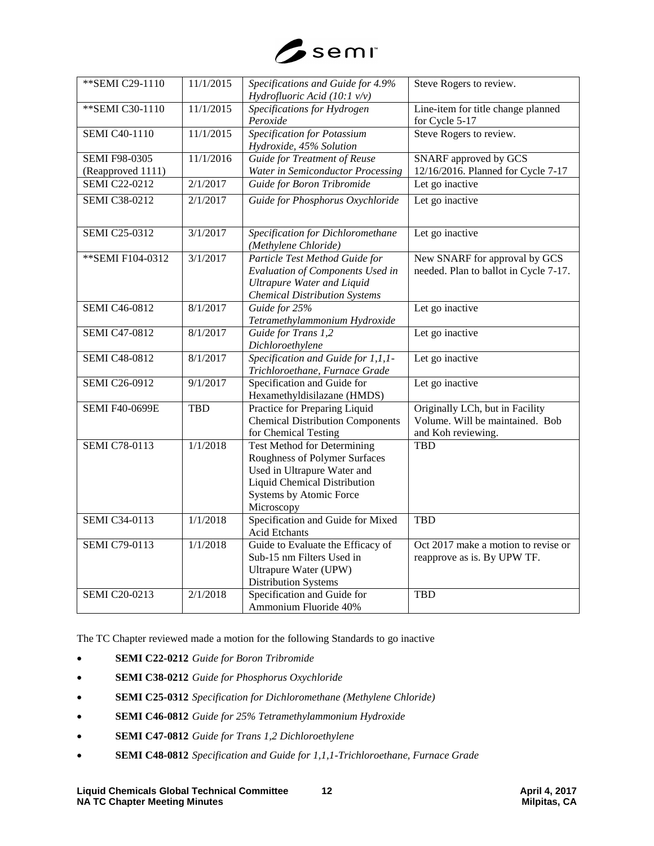

| ** SEMI C29-1110      | 11/1/2015  | Specifications and Guide for 4.9%<br>Hydrofluoric Acid (10:1 $v/v$ )                                                                                                               | Steve Rogers to review.                                                                  |
|-----------------------|------------|------------------------------------------------------------------------------------------------------------------------------------------------------------------------------------|------------------------------------------------------------------------------------------|
| ** SEMI C30-1110      | 11/1/2015  | Specifications for Hydrogen<br>Peroxide                                                                                                                                            | Line-item for title change planned<br>for Cycle 5-17                                     |
| <b>SEMI C40-1110</b>  | 11/1/2015  | <b>Specification for Potassium</b><br>Hydroxide, 45% Solution                                                                                                                      | Steve Rogers to review.                                                                  |
| <b>SEMI F98-0305</b>  | 11/1/2016  | <b>Guide for Treatment of Reuse</b>                                                                                                                                                | <b>SNARF</b> approved by GCS                                                             |
| (Reapproved 1111)     |            | Water in Semiconductor Processing                                                                                                                                                  | 12/16/2016. Planned for Cycle 7-17                                                       |
| <b>SEMI C22-0212</b>  | 2/1/2017   | Guide for Boron Tribromide                                                                                                                                                         | Let go inactive                                                                          |
| <b>SEMI C38-0212</b>  | 2/1/2017   | Guide for Phosphorus Oxychloride                                                                                                                                                   | Let go inactive                                                                          |
| <b>SEMI C25-0312</b>  | 3/1/2017   | Specification for Dichloromethane<br>(Methylene Chloride)                                                                                                                          | Let go inactive                                                                          |
| ** SEMI F104-0312     | 3/1/2017   | Particle Test Method Guide for<br>Evaluation of Components Used in<br><b>Ultrapure Water and Liquid</b><br><b>Chemical Distribution Systems</b>                                    | New SNARF for approval by GCS<br>needed. Plan to ballot in Cycle 7-17.                   |
| <b>SEMI C46-0812</b>  | 8/1/2017   | Guide for 25%<br>Tetramethylammonium Hydroxide                                                                                                                                     | Let go inactive                                                                          |
| <b>SEMI C47-0812</b>  | 8/1/2017   | Guide for Trans 1,2<br>Dichloroethylene                                                                                                                                            | Let go inactive                                                                          |
| <b>SEMI C48-0812</b>  | 8/1/2017   | Specification and Guide for 1,1,1-<br>Trichloroethane, Furnace Grade                                                                                                               | Let go inactive                                                                          |
| <b>SEMI C26-0912</b>  | 9/1/2017   | Specification and Guide for<br>Hexamethyldisilazane (HMDS)                                                                                                                         | Let go inactive                                                                          |
| <b>SEMI F40-0699E</b> | <b>TBD</b> | Practice for Preparing Liquid<br><b>Chemical Distribution Components</b><br>for Chemical Testing                                                                                   | Originally LCh, but in Facility<br>Volume. Will be maintained. Bob<br>and Koh reviewing. |
| <b>SEMI C78-0113</b>  | 1/1/2018   | <b>Test Method for Determining</b><br>Roughness of Polymer Surfaces<br>Used in Ultrapure Water and<br><b>Liquid Chemical Distribution</b><br>Systems by Atomic Force<br>Microscopy | <b>TBD</b>                                                                               |
| <b>SEMI C34-0113</b>  | 1/1/2018   | Specification and Guide for Mixed<br>Acid Etchants                                                                                                                                 | <b>TBD</b>                                                                               |
| <b>SEMI C79-0113</b>  | 1/1/2018   | Guide to Evaluate the Efficacy of<br>Sub-15 nm Filters Used in<br>Ultrapure Water (UPW)<br><b>Distribution Systems</b>                                                             | Oct 2017 make a motion to revise or<br>reapprove as is. By UPW TF.                       |
| <b>SEMI C20-0213</b>  | 2/1/2018   | Specification and Guide for<br>Ammonium Fluoride 40%                                                                                                                               | <b>TBD</b>                                                                               |

The TC Chapter reviewed made a motion for the following Standards to go inactive

- **SEMI C22-0212** *Guide for Boron Tribromide*
- **SEMI C38-0212** *Guide for Phosphorus Oxychloride*
- **SEMI C25-0312** *Specification for Dichloromethane (Methylene Chloride)*
- **SEMI C46-0812** *Guide for 25% Tetramethylammonium Hydroxide*
- **SEMI C47-0812** *Guide for Trans 1,2 Dichloroethylene*
- **SEMI C48-0812** *Specification and Guide for 1,1,1-Trichloroethane, Furnace Grade*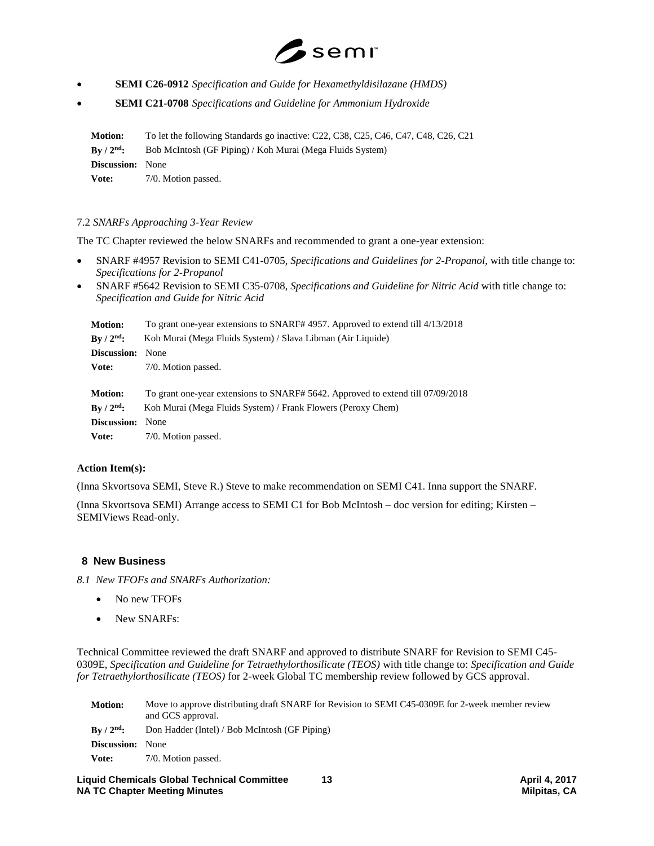

- **SEMI C26-0912** *Specification and Guide for Hexamethyldisilazane (HMDS)*
- **SEMI C21-0708** *Specifications and Guideline for Ammonium Hydroxide*

**Motion:** To let the following Standards go inactive: C22, C38, C25, C46, C47, C48, C26, C21 **By / 2nd:** Bob McIntosh (GF Piping) / Koh Murai (Mega Fluids System) **Discussion:** None Vote: 7/0. Motion passed.

## 7.2 *SNARFs Approaching 3-Year Review*

The TC Chapter reviewed the below SNARFs and recommended to grant a one-year extension:

- SNARF #4957 Revision to SEMI C41-0705, *Specifications and Guidelines for 2-Propanol*, with title change to: *Specifications for 2-Propanol*
- SNARF #5642 Revision to SEMI C35-0708, *Specifications and Guideline for Nitric Acid* with title change to: *Specification and Guide for Nitric Acid*

| <b>Motion:</b>          | To grant one-year extensions to SNARF# 4957. Approved to extend till 4/13/2018  |
|-------------------------|---------------------------------------------------------------------------------|
| $By / 2nd$ :            | Koh Murai (Mega Fluids System) / Slava Libman (Air Liquide)                     |
| Discussion:             | None                                                                            |
| Vote:                   | 7/0. Motion passed.                                                             |
|                         |                                                                                 |
| <b>Motion:</b>          | To grant one-year extensions to SNARF# 5642. Approved to extend till 07/09/2018 |
| $Bv / 2nd$ :            | Koh Murai (Mega Fluids System) / Frank Flowers (Peroxy Chem)                    |
| <b>Discussion:</b> None |                                                                                 |
|                         |                                                                                 |

**Vote:** 7/0. Motion passed.

#### **Action Item(s):**

(Inna Skvortsova SEMI, Steve R.) Steve to make recommendation on SEMI C41. Inna support the SNARF.

(Inna Skvortsova SEMI) Arrange access to SEMI C1 for Bob McIntosh – doc version for editing; Kirsten – SEMIViews Read-only.

#### **8 New Business**

*8.1 New TFOFs and SNARFs Authorization:*

- No new TFOFs
- New SNARFs:

Technical Committee reviewed the draft SNARF and approved to distribute SNARF for Revision to SEMI C45- 0309E, *Specification and Guideline for Tetraethylorthosilicate (TEOS)* with title change to: *Specification and Guide for Tetraethylorthosilicate (TEOS)* for 2-week Global TC membership review followed by GCS approval.

| <b>Motion:</b>             | Move to approve distributing draft SNARF for Revision to SEMI C45-0309E for 2-week member review<br>and GCS approval. |
|----------------------------|-----------------------------------------------------------------------------------------------------------------------|
| $\rm\,Bv$ / $\rm 2^{nd}$ : | Don Hadder (Intel) / Bob McIntosh (GF Piping)                                                                         |
| <b>Discussion:</b>         | None                                                                                                                  |
| Vote:                      | 7/0. Motion passed.                                                                                                   |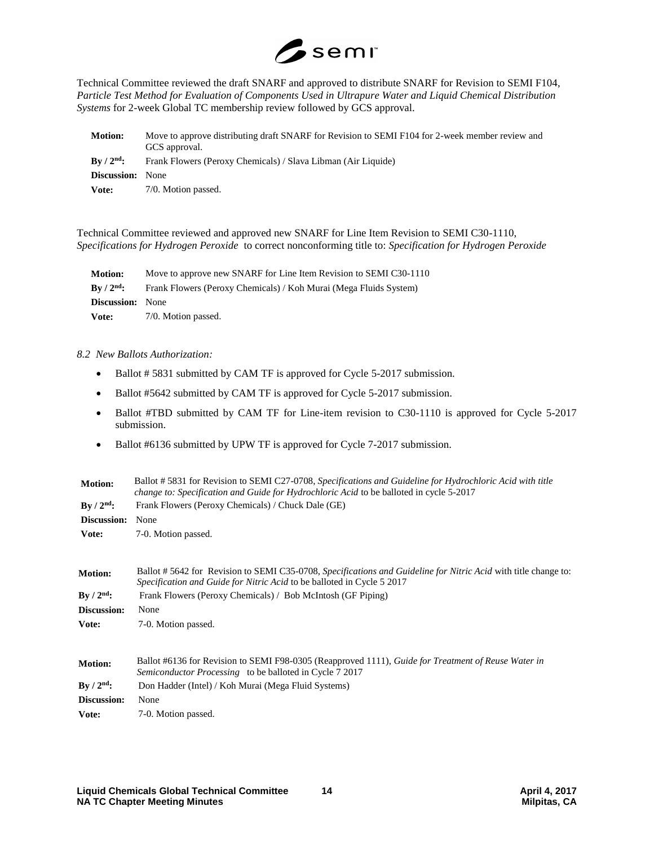

Technical Committee reviewed the draft SNARF and approved to distribute SNARF for Revision to SEMI F104, *Particle Test Method for Evaluation of Components Used in Ultrapure Water and Liquid Chemical Distribution Systems* for 2-week Global TC membership review followed by GCS approval.

| <b>Motion:</b>             | Move to approve distributing draft SNARF for Revision to SEMI F104 for 2-week member review and<br>GCS approval. |  |
|----------------------------|------------------------------------------------------------------------------------------------------------------|--|
| $\rm\,Bv$ / $\rm 2^{nd}$ : | Frank Flowers (Peroxy Chemicals) / Slava Libman (Air Liquide)                                                    |  |
| <b>Discussion:</b> None    |                                                                                                                  |  |
| Vote:                      | 7/0. Motion passed.                                                                                              |  |

Technical Committee reviewed and approved new SNARF for Line Item Revision to SEMI C30-1110, *Specifications for Hydrogen Peroxide* to correct nonconforming title to: *Specification for Hydrogen Peroxide* 

| <b>Motion:</b>              | Move to approve new SNARF for Line Item Revision to SEMI C30-1110 |  |
|-----------------------------|-------------------------------------------------------------------|--|
| $\rm{Bv}$ / $\rm{2^{nd}}$ : | Frank Flowers (Peroxy Chemicals) / Koh Murai (Mega Fluids System) |  |
| <b>Discussion:</b> None     |                                                                   |  |
| Vote:                       | 7/0. Motion passed.                                               |  |

#### *8.2 New Ballots Authorization:*

- Ballot # 5831 submitted by CAM TF is approved for Cycle 5-2017 submission.
- Ballot #5642 submitted by CAM TF is approved for Cycle 5-2017 submission.
- Ballot #TBD submitted by CAM TF for Line-item revision to C30-1110 is approved for Cycle 5-2017 submission.
- Ballot #6136 submitted by UPW TF is approved for Cycle 7-2017 submission.

| <b>Motion:</b> | Ballot # 5831 for Revision to SEMI C27-0708, Specifications and Guideline for Hydrochloric Acid with title<br>change to: Specification and Guide for Hydrochloric Acid to be balloted in cycle 5-2017 |  |  |
|----------------|-------------------------------------------------------------------------------------------------------------------------------------------------------------------------------------------------------|--|--|
| $By / 2nd$ :   | Frank Flowers (Peroxy Chemicals) / Chuck Dale (GE)                                                                                                                                                    |  |  |
| Discussion:    | None                                                                                                                                                                                                  |  |  |
| Vote:          | 7-0. Motion passed.                                                                                                                                                                                   |  |  |
| <b>Motion:</b> | Ballot #5642 for Revision to SEMI C35-0708, Specifications and Guideline for Nitric Acid with title change to:<br>Specification and Guide for Nitric Acid to be balloted in Cycle 5 2017              |  |  |
| By $/ 2nd$ :   | Frank Flowers (Peroxy Chemicals) / Bob McIntosh (GF Piping)                                                                                                                                           |  |  |
| Discussion:    | None                                                                                                                                                                                                  |  |  |
| Vote:          | 7-0. Motion passed.                                                                                                                                                                                   |  |  |
| <b>Motion:</b> | Ballot #6136 for Revision to SEMI F98-0305 (Reapproved 1111), Guide for Treatment of Reuse Water in<br><i>Semiconductor Processing</i> to be balloted in Cycle 7 2017                                 |  |  |
| $By / 2nd$ :   | Don Hadder (Intel) / Koh Murai (Mega Fluid Systems)                                                                                                                                                   |  |  |
| Discussion:    | None                                                                                                                                                                                                  |  |  |
| Vote:          | 7-0. Motion passed.                                                                                                                                                                                   |  |  |
|                |                                                                                                                                                                                                       |  |  |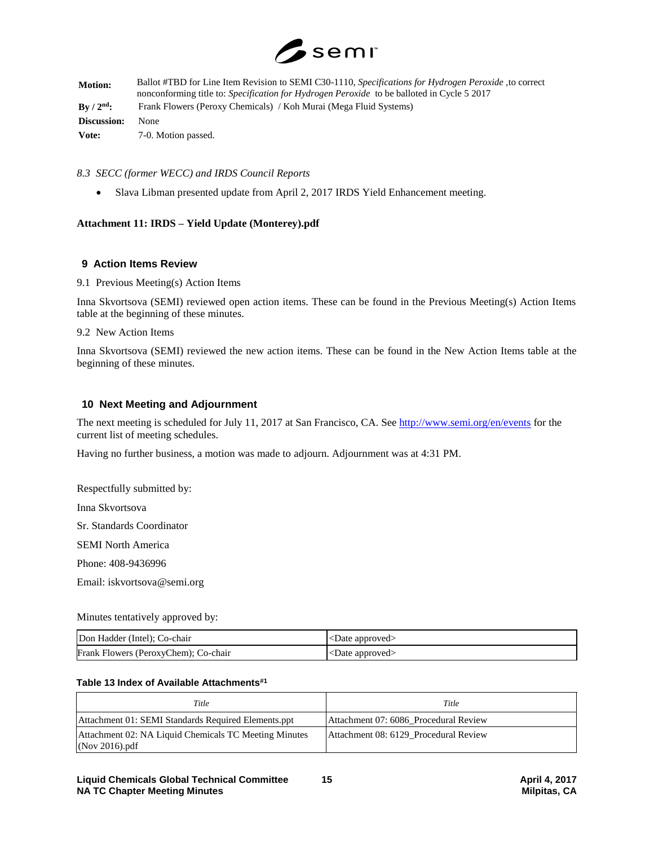

| <b>Motion:</b>     | Ballot #TBD for Line Item Revision to SEMI C30-1110, Specifications for Hydrogen Peroxide, to correct<br>nonconforming title to: <i>Specification for Hydrogen Peroxide</i> to be balloted in Cycle 5 2017 |  |
|--------------------|------------------------------------------------------------------------------------------------------------------------------------------------------------------------------------------------------------|--|
| $\rm{Bv}/2^{nd}$ : | Frank Flowers (Peroxy Chemicals) / Koh Murai (Mega Fluid Systems)                                                                                                                                          |  |
| Discussion:        | None                                                                                                                                                                                                       |  |
| Vote:              | 7-0. Motion passed.                                                                                                                                                                                        |  |

#### *8.3 SECC (former WECC) and IRDS Council Reports*

Slava Libman presented update from April 2, 2017 IRDS Yield Enhancement meeting.

## **Attachment 11: IRDS – Yield Update (Monterey).pdf**

#### **9 Action Items Review**

9.1 Previous Meeting(s) Action Items

Inna Skvortsova (SEMI) reviewed open action items. These can be found in the Previous Meeting(s) Action Items table at the beginning of these minutes.

9.2 New Action Items

Inna Skvortsova (SEMI) reviewed the new action items. These can be found in the New Action Items table at the beginning of these minutes.

#### **10 Next Meeting and Adjournment**

The next meeting is scheduled for July 11, 2017 at San Francisco, CA. See<http://www.semi.org/en/events> for the current list of meeting schedules.

Having no further business, a motion was made to adjourn. Adjournment was at 4:31 PM.

Respectfully submitted by:

Inna Skvortsova

Sr. Standards Coordinator

SEMI North America

Phone: 408-9436996

Email: iskvortsova@semi.org

#### Minutes tentatively approved by:

| Don Hadder (Intel); Co-chair         | <date approved=""></date> |
|--------------------------------------|---------------------------|
| Frank Flowers (PeroxyChem); Co-chair | <date approved=""></date> |

#### **Table 13 Index of Available Attachments#1**

| Title                                                                   | Title                                 |
|-------------------------------------------------------------------------|---------------------------------------|
| Attachment 01: SEMI Standards Required Elements.ppt                     | Attachment 07: 6086 Procedural Review |
| Attachment 02: NA Liquid Chemicals TC Meeting Minutes<br>(Nov 2016).pdf | Attachment 08: 6129 Procedural Review |